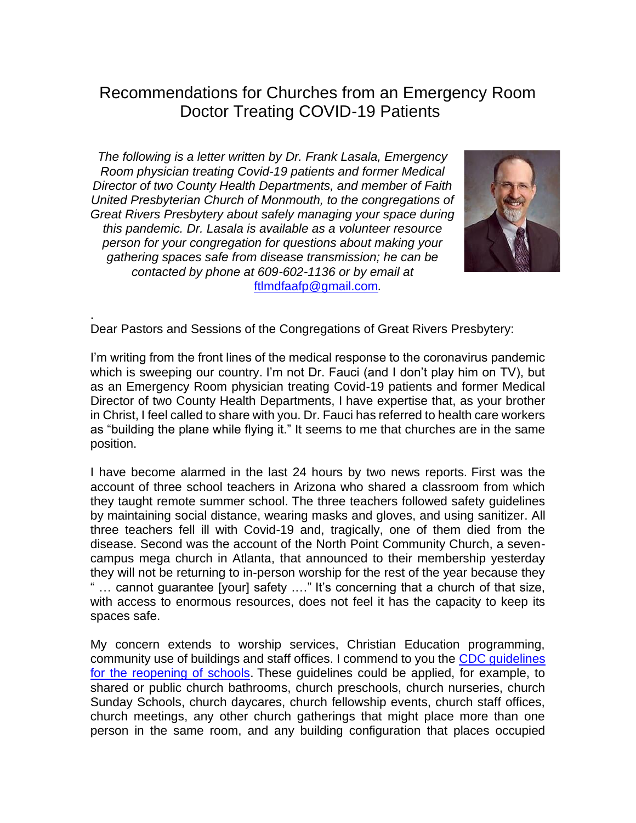# Recommendations for Churches from an Emergency Room Doctor Treating COVID-19 Patients

*The following is a letter written by Dr. Frank Lasala, Emergency Room physician treating Covid-19 patients and former Medical Director of two County Health Departments, and member of Faith United Presbyterian Church of Monmouth, to the congregations of Great Rivers Presbytery about safely managing your space during this pandemic. Dr. Lasala is available as a volunteer resource person for your congregation for questions about making your gathering spaces safe from disease transmission; he can be contacted by phone at 609-602-1136 or by email at*  [ftlmdfaafp@gmail.com](mailto:ftlmdfaafp@gmail.com)*.*

.



Dear Pastors and Sessions of the Congregations of Great Rivers Presbytery:

I'm writing from the front lines of the medical response to the coronavirus pandemic which is sweeping our country. I'm not Dr. Fauci (and I don't play him on TV), but as an Emergency Room physician treating Covid-19 patients and former Medical Director of two County Health Departments, I have expertise that, as your brother in Christ, I feel called to share with you. Dr. Fauci has referred to health care workers as "building the plane while flying it." It seems to me that churches are in the same position.

I have become alarmed in the last 24 hours by two news reports. First was the account of three school teachers in Arizona who shared a classroom from which they taught remote summer school. The three teachers followed safety guidelines by maintaining social distance, wearing masks and gloves, and using sanitizer. All three teachers fell ill with Covid-19 and, tragically, one of them died from the disease. Second was the account of the North Point Community Church, a sevencampus mega church in Atlanta, that announced to their membership yesterday they will not be returning to in-person worship for the rest of the year because they " … cannot guarantee [your] safety .…" It's concerning that a church of that size, with access to enormous resources, does not feel it has the capacity to keep its spaces safe.

My concern extends to worship services, Christian Education programming, community use of buildings and staff offices. I commend to you the [CDC guidelines](http://r20.rs6.net/tn.jsp?f=0012ccrqfmoR87GyvszfNP--XhPchzp7H9NCOf6EK6cgg09UXifsL2HmP7-upss63hXzXaew-7OBU2I6YXcyU9SWuOKbdDd-tpqe5VK2YvLnt2Qf1-CKlVJF5AkFNN6IgR19afkht_zslbo3LffAZd82uGxRKPnYhM72mX0lx_mu8pISc-XsyEg6HWFhwQV0C9WTiGRo7mRy1m6HJI2YoFN6lmilckmvnwUFDBSIAi9cwiFW9PWWCMtYRCpGkjHbCbciUuXiJ7NiZw=&c=hOuFF5-pWrqX55QGo_qSg6Eo-YzBwBIHPdnbmMwEv7VlkCh677S17g==&ch=JKWkfZdRoBqRAYxpY4AVTAGbmNAlGWBDn8OpNxJO_Swy2jSn17xsXw==)  [for the reopening of schools.](http://r20.rs6.net/tn.jsp?f=0012ccrqfmoR87GyvszfNP--XhPchzp7H9NCOf6EK6cgg09UXifsL2HmP7-upss63hXzXaew-7OBU2I6YXcyU9SWuOKbdDd-tpqe5VK2YvLnt2Qf1-CKlVJF5AkFNN6IgR19afkht_zslbo3LffAZd82uGxRKPnYhM72mX0lx_mu8pISc-XsyEg6HWFhwQV0C9WTiGRo7mRy1m6HJI2YoFN6lmilckmvnwUFDBSIAi9cwiFW9PWWCMtYRCpGkjHbCbciUuXiJ7NiZw=&c=hOuFF5-pWrqX55QGo_qSg6Eo-YzBwBIHPdnbmMwEv7VlkCh677S17g==&ch=JKWkfZdRoBqRAYxpY4AVTAGbmNAlGWBDn8OpNxJO_Swy2jSn17xsXw==) These guidelines could be applied, for example, to shared or public church bathrooms, church preschools, church nurseries, church Sunday Schools, church daycares, church fellowship events, church staff offices, church meetings, any other church gatherings that might place more than one person in the same room, and any building configuration that places occupied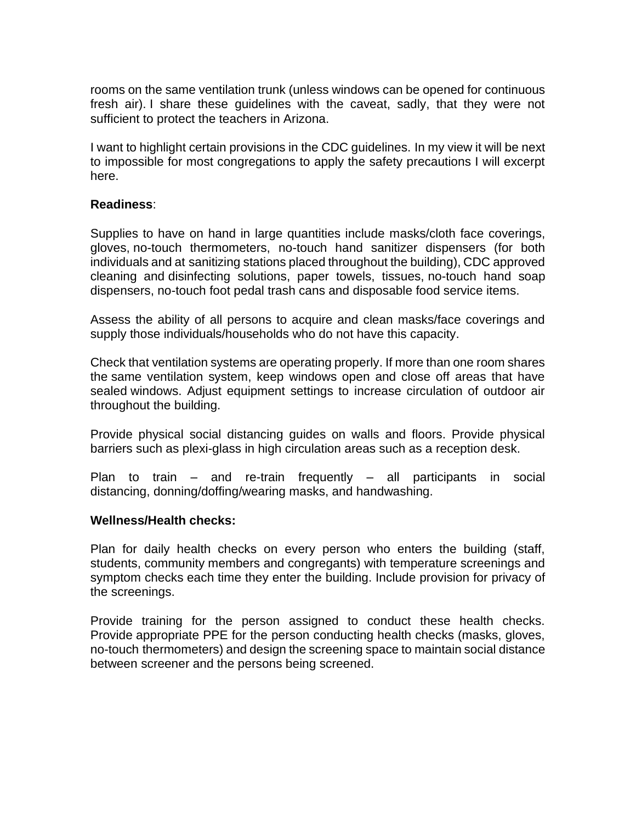rooms on the same ventilation trunk (unless windows can be opened for continuous fresh air). I share these guidelines with the caveat, sadly, that they were not sufficient to protect the teachers in Arizona.

I want to highlight certain provisions in the CDC guidelines. In my view it will be next to impossible for most congregations to apply the safety precautions I will excerpt here.

# **Readiness**:

Supplies to have on hand in large quantities include masks/cloth face coverings, gloves, no-touch thermometers, no-touch hand sanitizer dispensers (for both individuals and at sanitizing stations placed throughout the building), CDC approved cleaning and disinfecting solutions, paper towels, tissues, no-touch hand soap dispensers, no-touch foot pedal trash cans and disposable food service items.

Assess the ability of all persons to acquire and clean masks/face coverings and supply those individuals/households who do not have this capacity.

Check that ventilation systems are operating properly. If more than one room shares the same ventilation system, keep windows open and close off areas that have sealed windows. Adjust equipment settings to increase circulation of outdoor air throughout the building.

Provide physical social distancing guides on walls and floors. Provide physical barriers such as plexi-glass in high circulation areas such as a reception desk.

Plan to train – and re-train frequently – all participants in social distancing, donning/doffing/wearing masks, and handwashing.

### **Wellness/Health checks:**

Plan for daily health checks on every person who enters the building (staff, students, community members and congregants) with temperature screenings and symptom checks each time they enter the building. Include provision for privacy of the screenings.

Provide training for the person assigned to conduct these health checks. Provide appropriate PPE for the person conducting health checks (masks, gloves, no-touch thermometers) and design the screening space to maintain social distance between screener and the persons being screened.